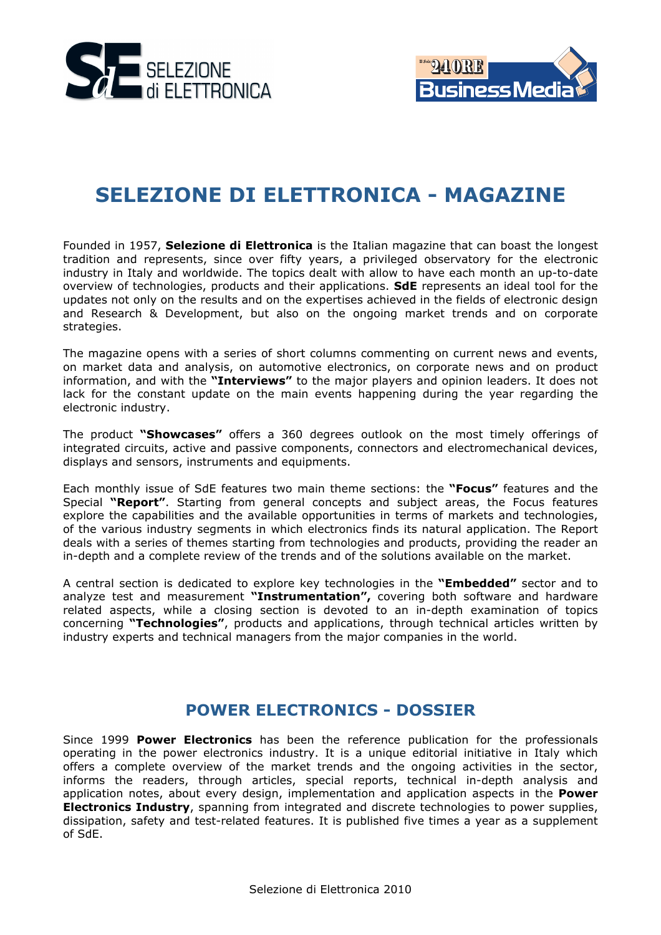



# **SELEZIONE DI ELETTRONICA - MAGAZINE**

Founded in 1957, **Selezione di Elettronica** is the Italian magazine that can boast the longest tradition and represents, since over fifty years, a privileged observatory for the electronic industry in Italy and worldwide. The topics dealt with allow to have each month an up-to-date overview of technologies, products and their applications. **SdE** represents an ideal tool for the updates not only on the results and on the expertises achieved in the fields of electronic design and Research & Development, but also on the ongoing market trends and on corporate strategies.

The magazine opens with a series of short columns commenting on current news and events, on market data and analysis, on automotive electronics, on corporate news and on product information, and with the **"Interviews"** to the major players and opinion leaders. It does not lack for the constant update on the main events happening during the year regarding the electronic industry.

The product **"Showcases"** offers a 360 degrees outlook on the most timely offerings of integrated circuits, active and passive components, connectors and electromechanical devices, displays and sensors, instruments and equipments.

Each monthly issue of SdE features two main theme sections: the **"Focus"** features and the Special **"Report"**. Starting from general concepts and subject areas, the Focus features explore the capabilities and the available opportunities in terms of markets and technologies, of the various industry segments in which electronics finds its natural application. The Report deals with a series of themes starting from technologies and products, providing the reader an in-depth and a complete review of the trends and of the solutions available on the market.

A central section is dedicated to explore key technologies in the **"Embedded"** sector and to analyze test and measurement **"Instrumentation",** covering both software and hardware related aspects, while a closing section is devoted to an in-depth examination of topics concerning **"Technologies"**, products and applications, through technical articles written by industry experts and technical managers from the major companies in the world.

#### **POWER ELECTRONICS - DOSSIER**

Since 1999 **Power Electronics** has been the reference publication for the professionals operating in the power electronics industry. It is a unique editorial initiative in Italy which offers a complete overview of the market trends and the ongoing activities in the sector, informs the readers, through articles, special reports, technical in-depth analysis and application notes, about every design, implementation and application aspects in the **Power Electronics Industry**, spanning from integrated and discrete technologies to power supplies, dissipation, safety and test-related features. It is published five times a year as a supplement of SdE.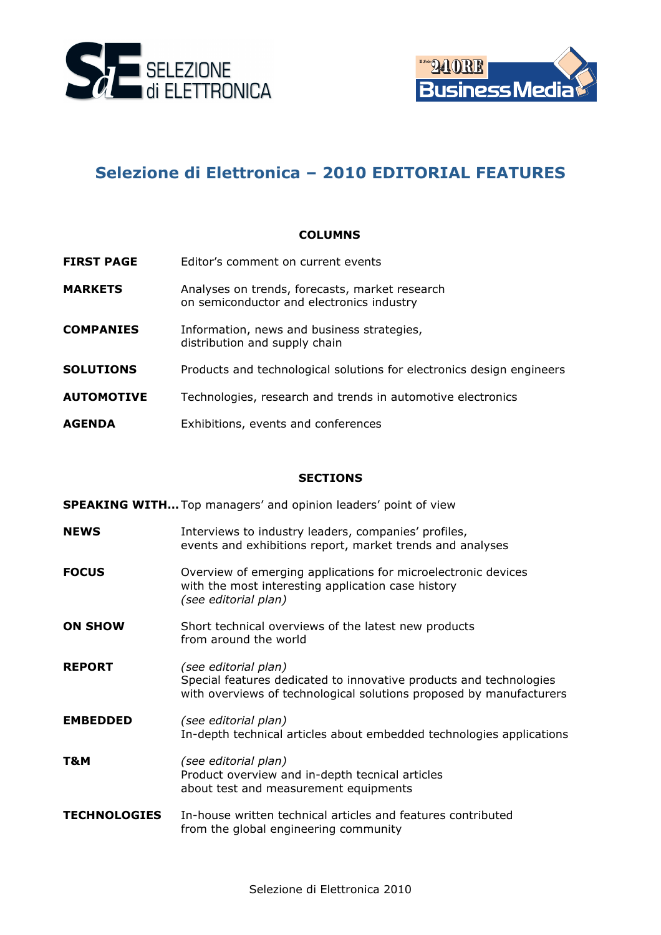



## **Selezione di Elettronica – 2010 EDITORIAL FEATURES**

#### **COLUMNS**

- **FIRST PAGE** Editor's comment on current events
- **MARKETS** Analyses on trends, forecasts, market research on semiconductor and electronics industry
- **COMPANIES** Information, news and business strategies, distribution and supply chain
- **SOLUTIONS** Products and technological solutions for electronics design engineers
- **AUTOMOTIVE** Technologies, research and trends in automotive electronics
- **AGENDA** Exhibitions, events and conferences

#### **SECTIONS**

**SPEAKING WITH…**Top managers' and opinion leaders' point of view

- **NEWS** Interviews to industry leaders, companies' profiles, events and exhibitions report, market trends and analyses
- **FOCUS COUS** Overview of emerging applications for microelectronic devices with the most interesting application case history *(see editorial plan)*
- **ON SHOW** Short technical overviews of the latest new products from around the world
- **REPORT** *(see editorial plan)* Special features dedicated to innovative products and technologies with overviews of technological solutions proposed by manufacturers
- **EMBEDDED** *(see editorial plan)* In-depth technical articles about embedded technologies applications
- **T&M** *(see editorial plan)* Product overview and in-depth tecnical articles about test and measurement equipments
- **TECHNOLOGIES** In-house written technical articles and features contributed from the global engineering community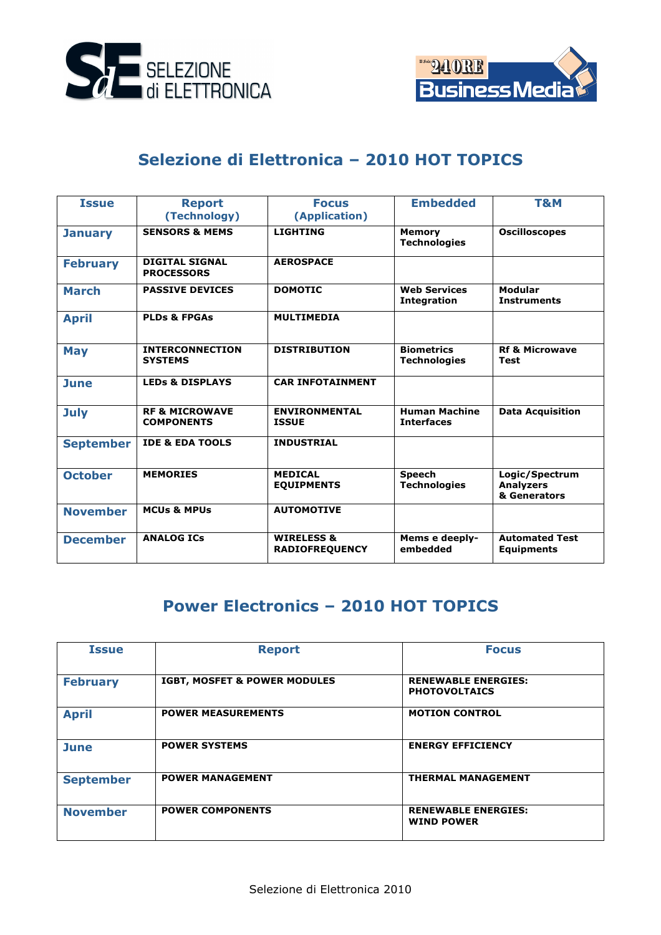



## **Selezione di Elettronica – 2010 HOT TOPICS**

| <b>Issue</b>     | <b>Report</b><br>(Technology)                  | <b>Focus</b><br>(Application)                  | <b>Embedded</b>                           | T&M                                                |
|------------------|------------------------------------------------|------------------------------------------------|-------------------------------------------|----------------------------------------------------|
| <b>January</b>   | <b>SENSORS &amp; MEMS</b>                      | <b>LIGHTING</b>                                | <b>Memory</b><br><b>Technologies</b>      | <b>Oscilloscopes</b>                               |
| <b>February</b>  | <b>DIGITAL SIGNAL</b><br><b>PROCESSORS</b>     | <b>AEROSPACE</b>                               |                                           |                                                    |
| <b>March</b>     | <b>PASSIVE DEVICES</b>                         | <b>DOMOTIC</b>                                 | <b>Web Services</b><br><b>Integration</b> | <b>Modular</b><br><b>Instruments</b>               |
| <b>April</b>     | <b>PLDs &amp; FPGAs</b>                        | <b>MULTIMEDIA</b>                              |                                           |                                                    |
| <b>May</b>       | <b>INTERCONNECTION</b><br><b>SYSTEMS</b>       | <b>DISTRIBUTION</b>                            | <b>Biometrics</b><br><b>Technologies</b>  | <b>Rf &amp; Microwave</b><br><b>Test</b>           |
| <b>June</b>      | <b>LEDS &amp; DISPLAYS</b>                     | <b>CAR INFOTAINMENT</b>                        |                                           |                                                    |
| <b>July</b>      | <b>RF &amp; MICROWAVE</b><br><b>COMPONENTS</b> | <b>ENVIRONMENTAL</b><br><b>ISSUE</b>           | <b>Human Machine</b><br><b>Interfaces</b> | <b>Data Acquisition</b>                            |
| <b>September</b> | <b>IDE &amp; EDA TOOLS</b>                     | <b>INDUSTRIAL</b>                              |                                           |                                                    |
| <b>October</b>   | <b>MEMORIES</b>                                | <b>MEDICAL</b><br><b>EQUIPMENTS</b>            | <b>Speech</b><br><b>Technologies</b>      | Logic/Spectrum<br><b>Analyzers</b><br>& Generators |
| <b>November</b>  | <b>MCUs &amp; MPUs</b>                         | <b>AUTOMOTIVE</b>                              |                                           |                                                    |
| <b>December</b>  | <b>ANALOG ICS</b>                              | <b>WIRELESS &amp;</b><br><b>RADIOFREQUENCY</b> | Mems e deeply-<br>embedded                | <b>Automated Test</b><br><b>Equipments</b>         |

## **Power Electronics – 2010 HOT TOPICS**

| <b>Issue</b>     | <b>Report</b>                           | <b>Focus</b>                                       |
|------------------|-----------------------------------------|----------------------------------------------------|
| <b>February</b>  | <b>IGBT, MOSFET &amp; POWER MODULES</b> | <b>RENEWABLE ENERGIES:</b><br><b>PHOTOVOLTAICS</b> |
| <b>April</b>     | <b>POWER MEASUREMENTS</b>               | <b>MOTION CONTROL</b>                              |
| <b>June</b>      | <b>POWER SYSTEMS</b>                    | <b>ENERGY EFFICIENCY</b>                           |
| <b>September</b> | <b>POWER MANAGEMENT</b>                 | <b>THERMAL MANAGEMENT</b>                          |
| <b>November</b>  | <b>POWER COMPONENTS</b>                 | <b>RENEWABLE ENERGIES:</b><br><b>WIND POWER</b>    |